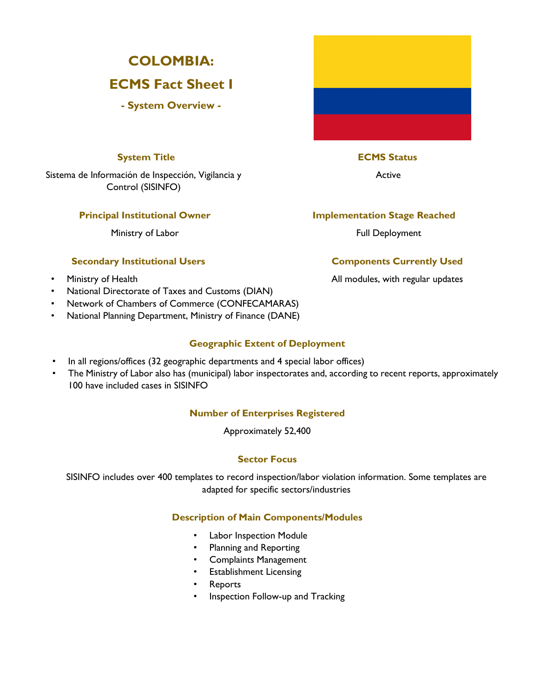# **COLOMBIA:**

# **ECMS Fact Sheet I**

**- System Overview -** 

# **System Title ECMS Status**

Sistema de Información de Inspección, Vigilancia y Active Control (SISINFO)

Ministry of Labor **Full Deployment** 

# **Secondary Institutional Users Components Currently Used**

- 
- National Directorate of Taxes and Customs (DIAN)
- Network of Chambers of Commerce (CONFECAMARAS)
- National Planning Department, Ministry of Finance (DANE)

## **Geographic Extent of Deployment**

- In all regions/offices (32 geographic departments and 4 special labor offices)
- The Ministry of Labor also has (municipal) labor inspectorates and, according to recent reports, approximately 100 have included cases in SISINFO

## **Number of Enterprises Registered**

Approximately 52,400

# **Sector Focus**

SISINFO includes over 400 templates to record inspection/labor violation information. Some templates are adapted for specific sectors/industries

## **Description of Main Components/Modules**

- Labor Inspection Module
- Planning and Reporting
- Complaints Management
- Establishment Licensing
- **Reports**
- Inspection Follow-up and Tracking

# **Principal Institutional Owner Stage Reached**

• Ministry of Health All modules, with regular updates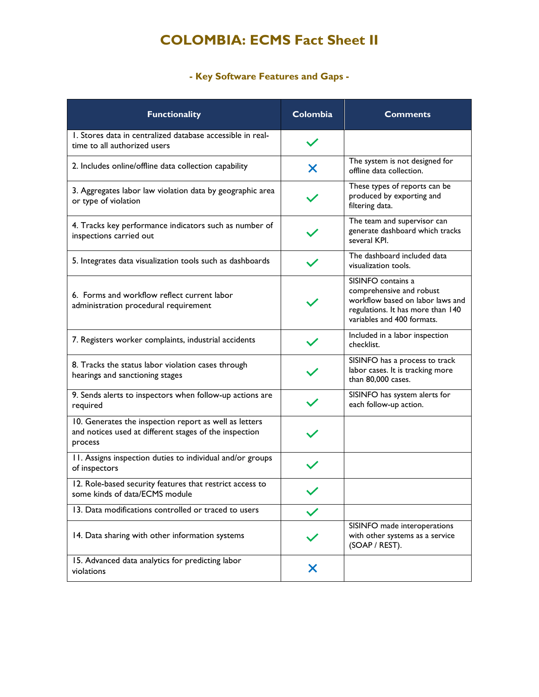# **COLOMBIA: ECMS Fact Sheet II**

# **- Key Software Features and Gaps -**

| <b>Functionality</b>                                                                                                        | Colombia | <b>Comments</b>                                                                                                                                       |
|-----------------------------------------------------------------------------------------------------------------------------|----------|-------------------------------------------------------------------------------------------------------------------------------------------------------|
| 1. Stores data in centralized database accessible in real-<br>time to all authorized users                                  |          |                                                                                                                                                       |
| 2. Includes online/offline data collection capability                                                                       | X        | The system is not designed for<br>offline data collection.                                                                                            |
| 3. Aggregates labor law violation data by geographic area<br>or type of violation                                           |          | These types of reports can be<br>produced by exporting and<br>filtering data.                                                                         |
| 4. Tracks key performance indicators such as number of<br>inspections carried out                                           |          | The team and supervisor can<br>generate dashboard which tracks<br>several KPI.                                                                        |
| 5. Integrates data visualization tools such as dashboards                                                                   |          | The dashboard included data<br>visualization tools.                                                                                                   |
| 6. Forms and workflow reflect current labor<br>administration procedural requirement                                        |          | SISINFO contains a<br>comprehensive and robust<br>workflow based on labor laws and<br>regulations. It has more than 140<br>variables and 400 formats. |
| 7. Registers worker complaints, industrial accidents                                                                        |          | Included in a labor inspection<br>checklist.                                                                                                          |
| 8. Tracks the status labor violation cases through<br>hearings and sanctioning stages                                       |          | SISINFO has a process to track<br>labor cases. It is tracking more<br>than 80,000 cases.                                                              |
| 9. Sends alerts to inspectors when follow-up actions are<br>required                                                        |          | SISINFO has system alerts for<br>each follow-up action.                                                                                               |
| 10. Generates the inspection report as well as letters<br>and notices used at different stages of the inspection<br>process |          |                                                                                                                                                       |
| 11. Assigns inspection duties to individual and/or groups<br>of inspectors                                                  |          |                                                                                                                                                       |
| 12. Role-based security features that restrict access to<br>some kinds of data/ECMS module                                  |          |                                                                                                                                                       |
| 13. Data modifications controlled or traced to users                                                                        |          |                                                                                                                                                       |
| 14. Data sharing with other information systems                                                                             |          | SISINFO made interoperations<br>with other systems as a service<br>(SOAP / REST).                                                                     |
| 15. Advanced data analytics for predicting labor<br>violations                                                              | X        |                                                                                                                                                       |